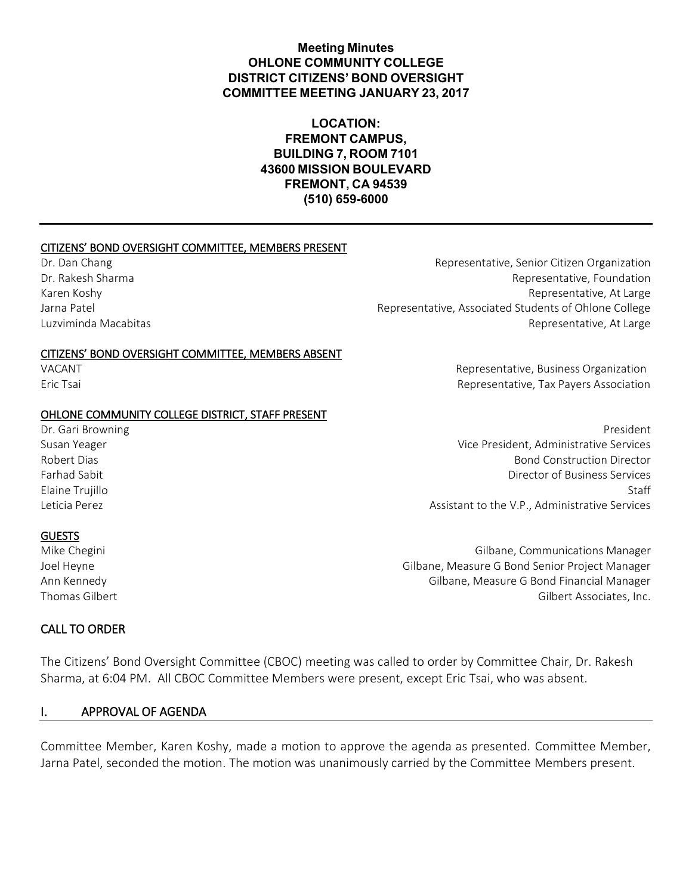### **Meeting Minutes OHLONE COMMUNITY COLLEGE DISTRICT CITIZENS' BOND OVERSIGHT COMMITTEE MEETING JANUARY 23, 2017**

### **LOCATION: FREMONT CAMPUS, BUILDING 7, ROOM 7101 43600 MISSION BOULEVARD FREMONT, CA 94539 (510) 659-6000**

#### CITIZENS' BOND OVERSIGHT COMMITTEE, MEMBERS PRESENT

#### CITIZENS' BOND OVERSIGHT COMMITTEE, MEMBERS ABSENT

#### OHLONE COMMUNITY COLLEGE DISTRICT, STAFF PRESENT

Dr. Dan Chang Representative, Senior Citizen Organization Dr. Rakesh Sharma **Representative, Foundation** Representative, Foundation Karen Koshy **Representative, At Large** Jarna Patel **Representative, Associated Students of Ohlone College** Luzviminda Macabitas Representative, At Large

VACANT VACANT EXAMPLE THE SERVICE OF STATE SERVICE SUSPENSION REPRESENTATION REPRESENTS OF SALES OF STATE SERVICE SERVICE SERVICE SERVICE SERVICE SERVICE SERVICE SERVICE SERVICE SERVICE SERVICE SERVICE SERVICE SERVICE SERV Eric Tsai Representative, Tax Payers Association

Dr. Gari Browning **President** President Communication of the extent of the extent of the extent of the extent of the extent of the extent of the extent of the extent of the extent of the extent of the extent of the extent Susan Yeager Vice President, Administrative Services Robert Dias Bond Construction Director Farhad Sabit Director of Business Services Elaine Trujillo Staff Leticia Perez **Assistant to the V.P., Administrative Services** Assistant to the V.P., Administrative Services

#### GUESTS

Mike Chegini Gilbane, Communications Manager Joel Heyne Gilbane, Measure G Bond Senior Project Manager Ann Kennedy Gilbane, Measure G Bond Financial Manager Thomas Gilbert **Gilbert** Company of the Company of Gilbert Associates, Inc.

#### CALL TO ORDER

The Citizens' Bond Oversight Committee (CBOC) meeting was called to order by Committee Chair, Dr. Rakesh Sharma, at 6:04 PM. All CBOC Committee Members were present, except Eric Tsai, who was absent.

#### I. APPROVAL OF AGENDA

Committee Member, Karen Koshy, made a motion to approve the agenda as presented. Committee Member, Jarna Patel, seconded the motion. The motion was unanimously carried by the Committee Members present.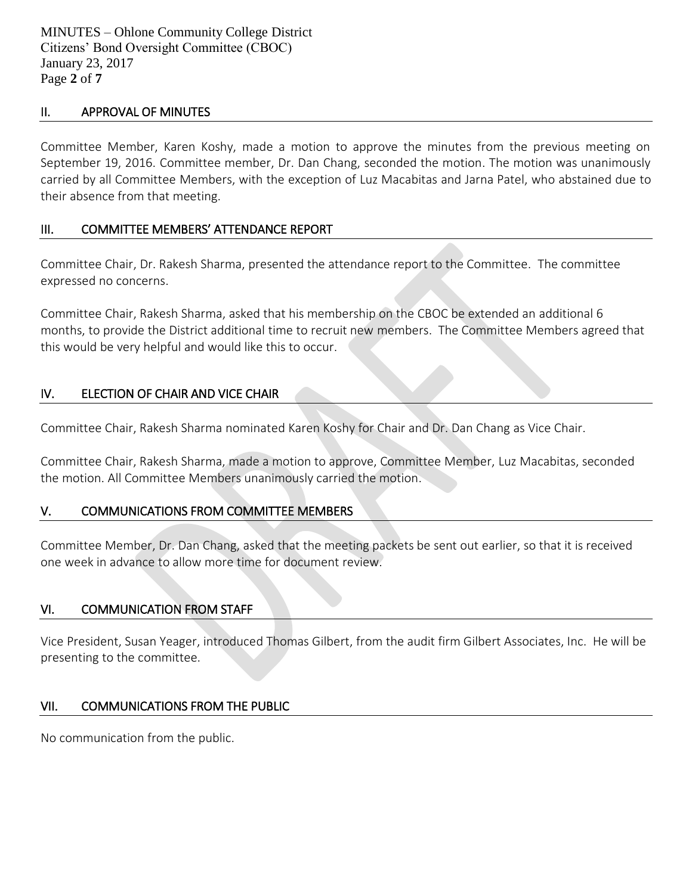#### II. APPROVAL OF MINUTES

Committee Member, Karen Koshy, made a motion to approve the minutes from the previous meeting on September 19, 2016. Committee member, Dr. Dan Chang, seconded the motion. The motion was unanimously carried by all Committee Members, with the exception of Luz Macabitas and Jarna Patel, who abstained due to their absence from that meeting.

### III. COMMITTEE MEMBERS' ATTENDANCE REPORT

Committee Chair, Dr. Rakesh Sharma, presented the attendance report to the Committee. The committee expressed no concerns.

Committee Chair, Rakesh Sharma, asked that his membership on the CBOC be extended an additional 6 months, to provide the District additional time to recruit new members. The Committee Members agreed that this would be very helpful and would like this to occur.

## IV. ELECTION OF CHAIR AND VICE CHAIR

Committee Chair, Rakesh Sharma nominated Karen Koshy for Chair and Dr. Dan Chang as Vice Chair.

Committee Chair, Rakesh Sharma, made a motion to approve, Committee Member, Luz Macabitas, seconded the motion. All Committee Members unanimously carried the motion.

## V. COMMUNICATIONS FROM COMMITTEE MEMBERS

Committee Member, Dr. Dan Chang, asked that the meeting packets be sent out earlier, so that it is received one week in advance to allow more time for document review.

## VI. COMMUNICATION FROM STAFF

Vice President, Susan Yeager, introduced Thomas Gilbert, from the audit firm Gilbert Associates, Inc. He will be presenting to the committee.

## VII. COMMUNICATIONS FROM THE PUBLIC

No communication from the public.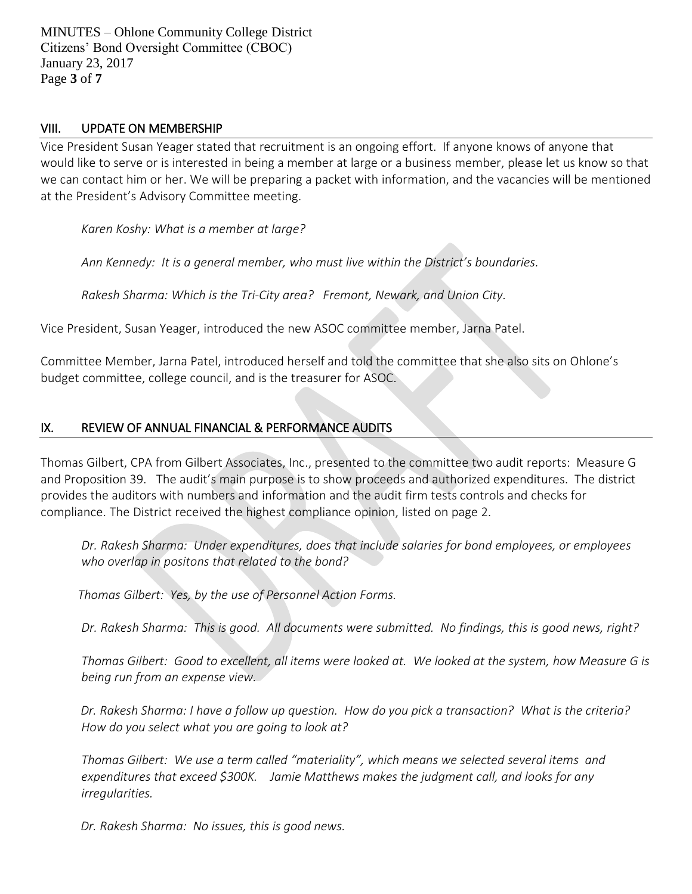MINUTES – Ohlone Community College District Citizens' Bond Oversight Committee (CBOC) January 23, 2017 Page **3** of **7**

#### VIII. UPDATE ON MEMBERSHIP

Vice President Susan Yeager stated that recruitment is an ongoing effort. If anyone knows of anyone that would like to serve or is interested in being a member at large or a business member, please let us know so that we can contact him or her. We will be preparing a packet with information, and the vacancies will be mentioned at the President's Advisory Committee meeting.

*Karen Koshy: What is a member at large?* 

*Ann Kennedy: It is a general member, who must live within the District's boundaries.* 

*Rakesh Sharma: Which is the Tri-City area? Fremont, Newark, and Union City.*

Vice President, Susan Yeager, introduced the new ASOC committee member, Jarna Patel.

Committee Member, Jarna Patel, introduced herself and told the committee that she also sits on Ohlone's budget committee, college council, and is the treasurer for ASOC.

### IX. REVIEW OF ANNUAL FINANCIAL & PERFORMANCE AUDITS

Thomas Gilbert, CPA from Gilbert Associates, Inc., presented to the committee two audit reports: Measure G and Proposition 39. The audit's main purpose is to show proceeds and authorized expenditures. The district provides the auditors with numbers and information and the audit firm tests controls and checks for compliance. The District received the highest compliance opinion, listed on page 2.

*Dr. Rakesh Sharma: Under expenditures, does that include salaries for bond employees, or employees who overlap in positons that related to the bond?* 

 *Thomas Gilbert: Yes, by the use of Personnel Action Forms.* 

*Dr. Rakesh Sharma: This is good. All documents were submitted. No findings, this is good news, right?* 

*Thomas Gilbert: Good to excellent, all items were looked at. We looked at the system, how Measure G is being run from an expense view.* 

 *Dr. Rakesh Sharma: I have a follow up question. How do you pick a transaction? What is the criteria? How do you select what you are going to look at?* 

*Thomas Gilbert: We use a term called "materiality", which means we selected several items and expenditures that exceed \$300K. Jamie Matthews makes the judgment call, and looks for any irregularities.* 

 *Dr. Rakesh Sharma: No issues, this is good news.*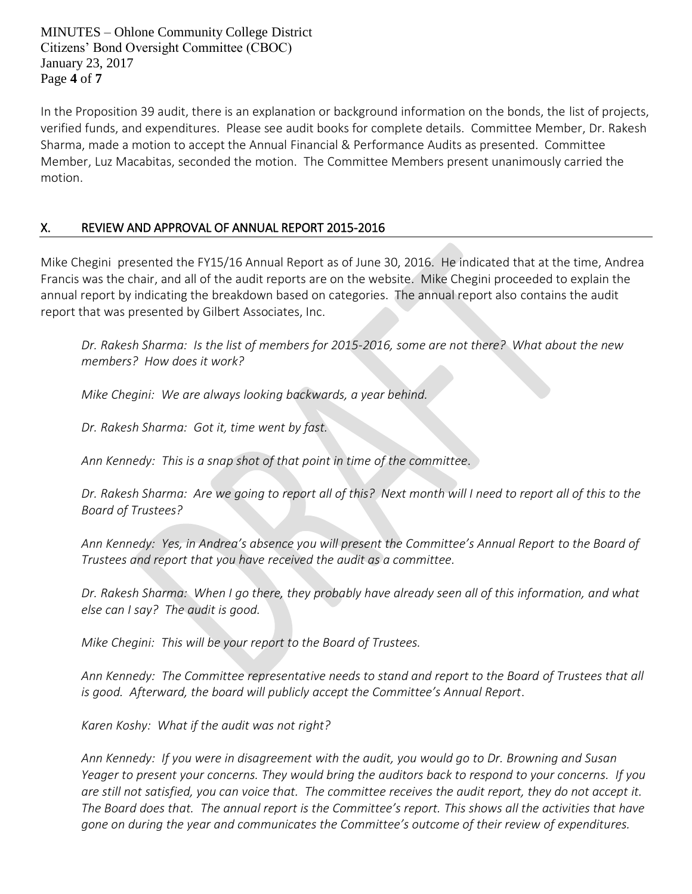MINUTES – Ohlone Community College District Citizens' Bond Oversight Committee (CBOC) January 23, 2017 Page **4** of **7**

In the Proposition 39 audit, there is an explanation or background information on the bonds, the list of projects, verified funds, and expenditures. Please see audit books for complete details. Committee Member, Dr. Rakesh Sharma, made a motion to accept the Annual Financial & Performance Audits as presented. Committee Member, Luz Macabitas, seconded the motion. The Committee Members present unanimously carried the motion.

# X. REVIEW AND APPROVAL OF ANNUAL REPORT 2015-2016

Mike Chegini presented the FY15/16 Annual Report as of June 30, 2016. He indicated that at the time, Andrea Francis was the chair, and all of the audit reports are on the website. Mike Chegini proceeded to explain the annual report by indicating the breakdown based on categories. The annual report also contains the audit report that was presented by Gilbert Associates, Inc.

*Dr. Rakesh Sharma: Is the list of members for 2015-2016, some are not there? What about the new members? How does it work?* 

*Mike Chegini: We are always looking backwards, a year behind.* 

*Dr. Rakesh Sharma: Got it, time went by fast.* 

*Ann Kennedy: This is a snap shot of that point in time of the committee*.

*Dr. Rakesh Sharma: Are we going to report all of this? Next month will I need to report all of this to the Board of Trustees?* 

*Ann Kennedy: Yes, in Andrea's absence you will present the Committee's Annual Report to the Board of Trustees and report that you have received the audit as a committee.* 

*Dr. Rakesh Sharma: When I go there, they probably have already seen all of this information, and what else can I say? The audit is good.* 

*Mike Chegini: This will be your report to the Board of Trustees.* 

*Ann Kennedy: The Committee representative needs to stand and report to the Board of Trustees that all is good. Afterward, the board will publicly accept the Committee's Annual Report*.

*Karen Koshy: What if the audit was not right?* 

*Ann Kennedy: If you were in disagreement with the audit, you would go to Dr. Browning and Susan Yeager to present your concerns. They would bring the auditors back to respond to your concerns. If you are still not satisfied, you can voice that. The committee receives the audit report, they do not accept it. The Board does that. The annual report is the Committee's report. This shows all the activities that have gone on during the year and communicates the Committee's outcome of their review of expenditures.*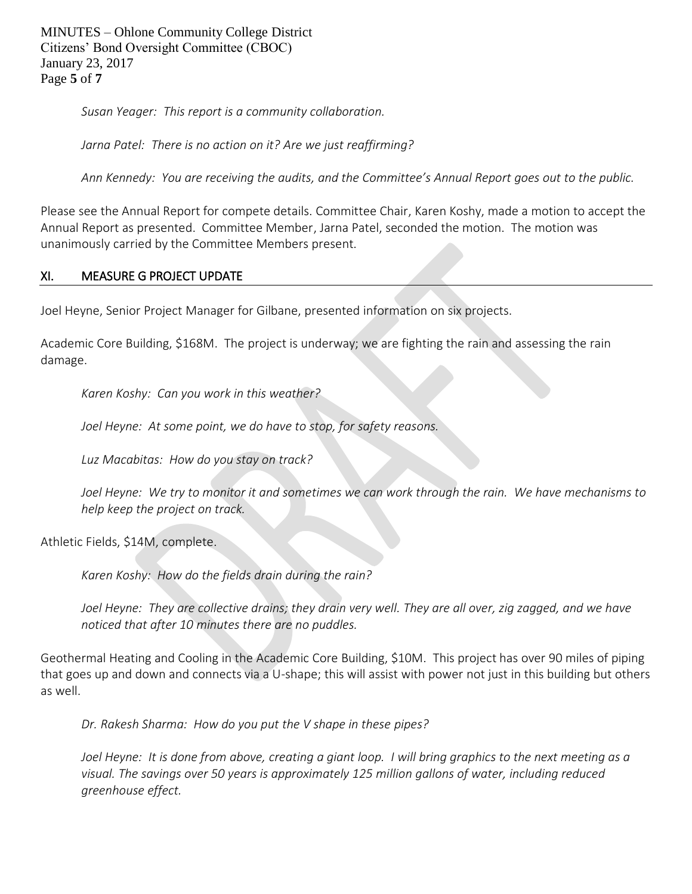MINUTES – Ohlone Community College District Citizens' Bond Oversight Committee (CBOC) January 23, 2017 Page **5** of **7**

*Susan Yeager: This report is a community collaboration.*

*Jarna Patel: There is no action on it? Are we just reaffirming?*

*Ann Kennedy: You are receiving the audits, and the Committee's Annual Report goes out to the public.*

Please see the Annual Report for compete details. Committee Chair, Karen Koshy, made a motion to accept the Annual Report as presented. Committee Member, Jarna Patel, seconded the motion. The motion was unanimously carried by the Committee Members present.

#### XI. MEASURE G PROJECT UPDATE

Joel Heyne, Senior Project Manager for Gilbane, presented information on six projects.

Academic Core Building, \$168M. The project is underway; we are fighting the rain and assessing the rain damage.

*Karen Koshy: Can you work in this weather?*

*Joel Heyne: At some point, we do have to stop, for safety reasons.*

*Luz Macabitas: How do you stay on track?*

*Joel Heyne: We try to monitor it and sometimes we can work through the rain. We have mechanisms to help keep the project on track.* 

Athletic Fields, \$14M, complete.

*Karen Koshy: How do the fields drain during the rain?*

*Joel Heyne: They are collective drains; they drain very well. They are all over, zig zagged, and we have noticed that after 10 minutes there are no puddles.*

Geothermal Heating and Cooling in the Academic Core Building, \$10M. This project has over 90 miles of piping that goes up and down and connects via a U-shape; this will assist with power not just in this building but others as well.

*Dr. Rakesh Sharma: How do you put the V shape in these pipes?*

*Joel Heyne: It is done from above, creating a giant loop. I will bring graphics to the next meeting as a visual. The savings over 50 years is approximately 125 million gallons of water, including reduced greenhouse effect.*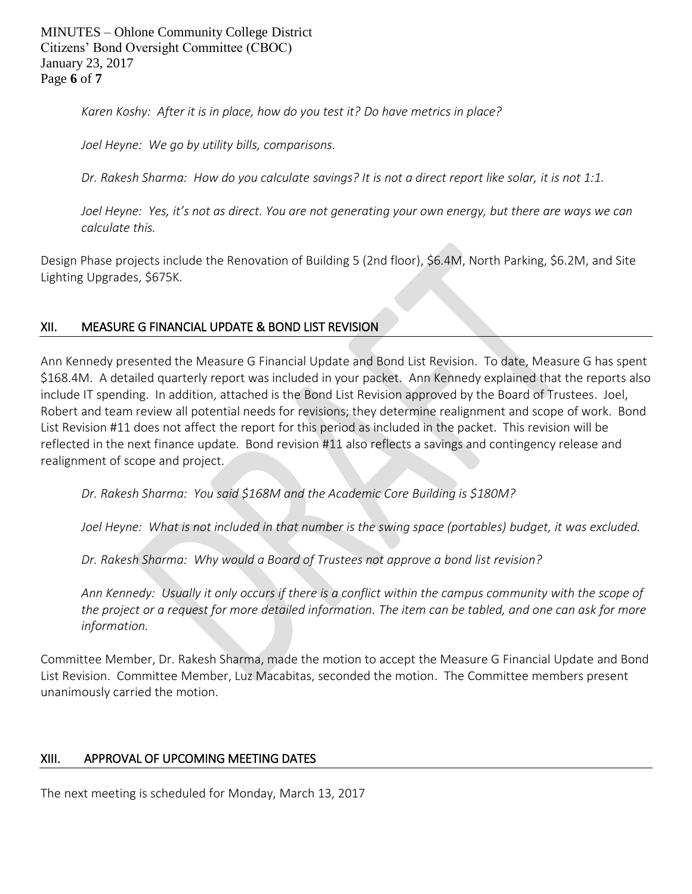MINUTES – Ohlone Community College District Citizens' Bond Oversight Committee (CBOC) January 23, 2017 Page **6** of **7**

*Karen Koshy: After it is in place, how do you test it? Do have metrics in place?* 

*Joel Heyne: We go by utility bills, comparisons.* 

*Dr. Rakesh Sharma: How do you calculate savings? It is not a direct report like solar, it is not 1:1.* 

*Joel Heyne: Yes, it's not as direct. You are not generating your own energy, but there are ways we can calculate this.* 

Design Phase projects include the Renovation of Building 5 (2nd floor), \$6.4M, North Parking, \$6.2M, and Site Lighting Upgrades, \$675K.

# XII. MEASURE G FINANCIAL UPDATE & BOND LIST REVISION

Ann Kennedy presented the Measure G Financial Update and Bond List Revision. To date, Measure G has spent \$168.4M. A detailed quarterly report was included in your packet. Ann Kennedy explained that the reports also include IT spending. In addition, attached is the Bond List Revision approved by the Board of Trustees. Joel, Robert and team review all potential needs for revisions; they determine realignment and scope of work. Bond List Revision #11 does not affect the report for this period as included in the packet. This revision will be reflected in the next finance update. Bond revision #11 also reflects a savings and contingency release and realignment of scope and project.

*Dr. Rakesh Sharma: You said \$168M and the Academic Core Building is \$180M?* 

Joel Heyne: What is not included in that number is the swing space (portables) budget, it was excluded.

*Dr. Rakesh Sharma: Why would a Board of Trustees not approve a bond list revision?* 

*Ann Kennedy: Usually it only occurs if there is a conflict within the campus community with the scope of the project or a request for more detailed information. The item can be tabled, and one can ask for more information.* 

Committee Member, Dr. Rakesh Sharma, made the motion to accept the Measure G Financial Update and Bond List Revision. Committee Member, Luz Macabitas, seconded the motion. The Committee members present unanimously carried the motion.

## XIII. APPROVAL OF UPCOMING MEETING DATES

The next meeting is scheduled for Monday, March 13, 2017